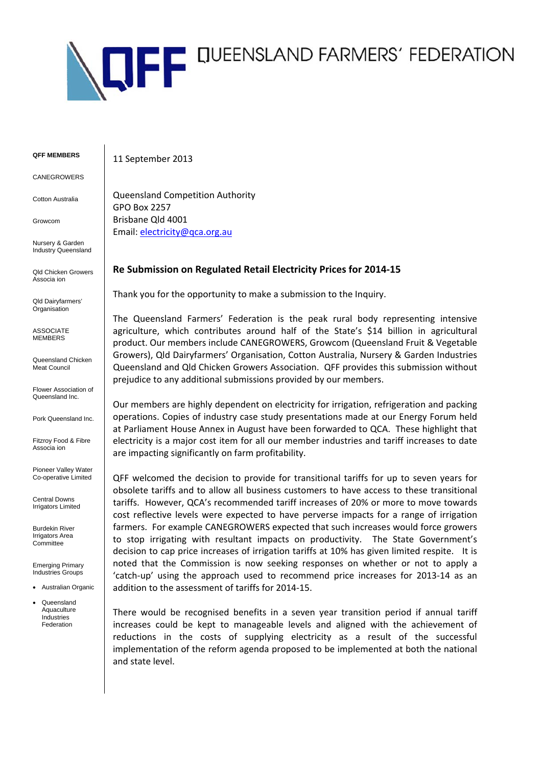

**QFF MEMBERS** 

CANEGROWERS

Cotton Australia

Growcom

Nursery & Garden Industry Queensland

Qld Chicken Growers Associa ion

Qld Dairyfarmers' **Organisation** 

**ASSOCIATE MEMBERS** 

Queensland Chicken Meat Council

Flower Association of Queensland Inc.

Pork Queensland Inc.

Fitzroy Food & Fibre Associa ion

Pioneer Valley Water Co-operative Limited

Central Downs Irrigators Limited

Burdekin River Irrigators Area **Committee** 

Emerging Primary Industries Groups

- Australian Organic
- Queensland Aquaculture Industries Federation

11 September 2013

Queensland Competition Authority GPO Box 2257 Brisbane Qld 4001 Email: electricity@qca.org.au

## **Re Submission on Regulated Retail Electricity Prices for 2014‐15**

Thank you for the opportunity to make a submission to the Inquiry.

The Queensland Farmers' Federation is the peak rural body representing intensive agriculture, which contributes around half of the State's \$14 billion in agricultural product. Our members include CANEGROWERS, Growcom (Queensland Fruit & Vegetable Growers), Qld Dairyfarmers' Organisation, Cotton Australia, Nursery & Garden Industries Queensland and Qld Chicken Growers Association. QFF provides this submission without prejudice to any additional submissions provided by our members.

Our members are highly dependent on electricity for irrigation, refrigeration and packing operations. Copies of industry case study presentations made at our Energy Forum held at Parliament House Annex in August have been forwarded to QCA. These highlight that electricity is a major cost item for all our member industries and tariff increases to date are impacting significantly on farm profitability.

QFF welcomed the decision to provide for transitional tariffs for up to seven years for obsolete tariffs and to allow all business customers to have access to these transitional tariffs. However, QCA's recommended tariff increases of 20% or more to move towards cost reflective levels were expected to have perverse impacts for a range of irrigation farmers. For example CANEGROWERS expected that such increases would force growers to stop irrigating with resultant impacts on productivity. The State Government's decision to cap price increases of irrigation tariffs at 10% has given limited respite. It is noted that the Commission is now seeking responses on whether or not to apply a 'catch‐up' using the approach used to recommend price increases for 2013‐14 as an addition to the assessment of tariffs for 2014‐15.

There would be recognised benefits in a seven year transition period if annual tariff increases could be kept to manageable levels and aligned with the achievement of reductions in the costs of supplying electricity as a result of the successful implementation of the reform agenda proposed to be implemented at both the national and state level.